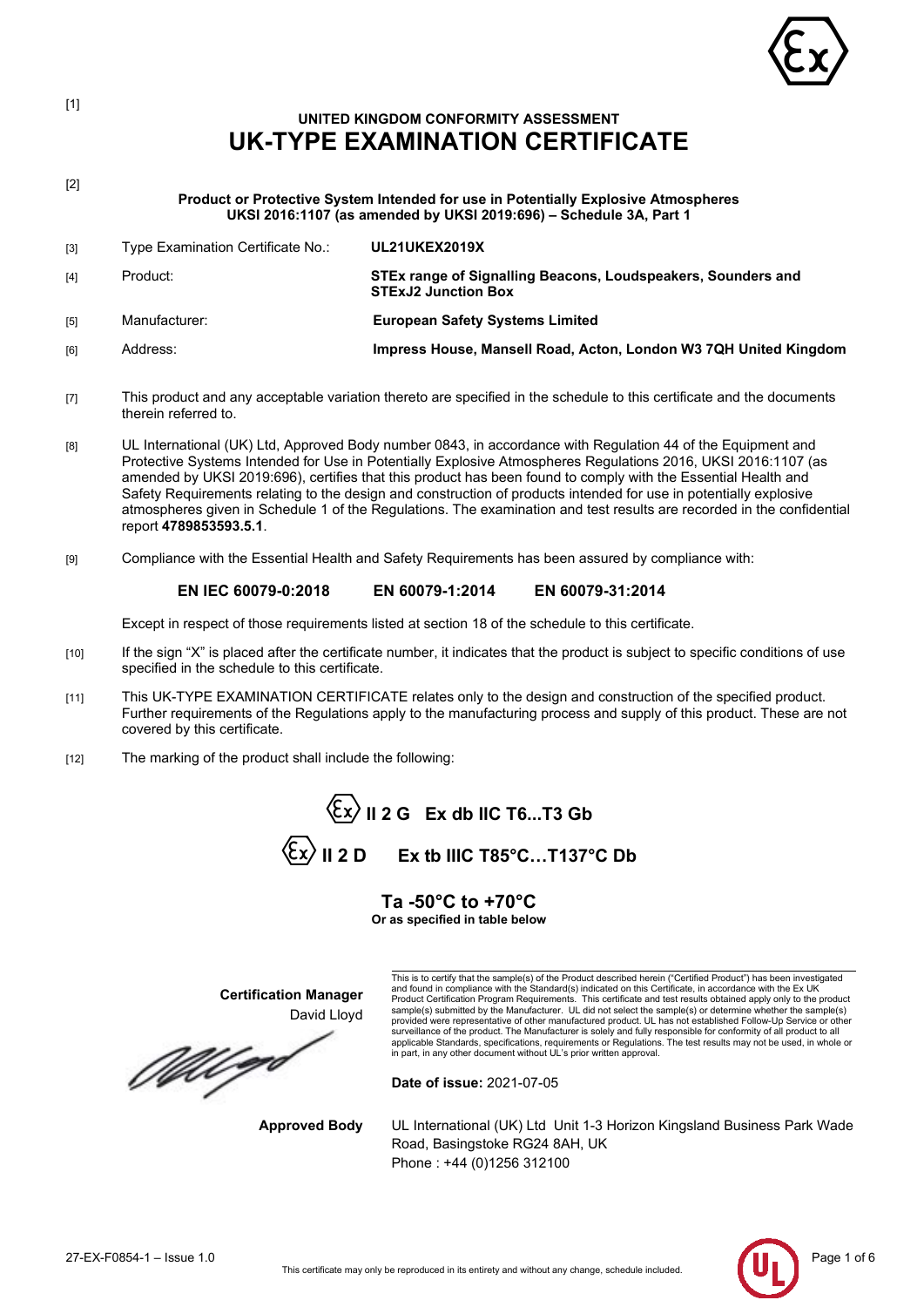

# **UNITED KINGDOM CONFORMITY ASSESSMENT UK-TYPE EXAMINATION CERTIFICATE**

[2]

[1]

**Product or Protective System Intended for use in Potentially Explosive Atmospheres UKSI 2016:1107 (as amended by UKSI 2019:696) – Schedule 3A, Part 1**

| $[3]$ | Type Examination Certificate No.: | UL21UKEX2019X                                                                              |
|-------|-----------------------------------|--------------------------------------------------------------------------------------------|
| [4]   | Product:                          | STEx range of Signalling Beacons, Loudspeakers, Sounders and<br><b>STExJ2 Junction Box</b> |
| [5]   | Manufacturer:                     | <b>European Safety Systems Limited</b>                                                     |
| [6]   | Address:                          | Impress House, Mansell Road, Acton, London W3 7QH United Kingdom                           |

- [7] This product and any acceptable variation thereto are specified in the schedule to this certificate and the documents therein referred to.
- [8] UL International (UK) Ltd, Approved Body number 0843, in accordance with Regulation 44 of the Equipment and Protective Systems Intended for Use in Potentially Explosive Atmospheres Regulations 2016, UKSI 2016:1107 (as amended by UKSI 2019:696), certifies that this product has been found to comply with the Essential Health and Safety Requirements relating to the design and construction of products intended for use in potentially explosive atmospheres given in Schedule 1 of the Regulations. The examination and test results are recorded in the confidential report **4789853593.5.1**.
- [9] Compliance with the Essential Health and Safety Requirements has been assured by compliance with:

## **EN IEC 60079-0:2018 EN 60079-1:2014 EN 60079-31:2014**

Except in respect of those requirements listed at section 18 of the schedule to this certificate.

- [10] If the sign "X" is placed after the certificate number, it indicates that the product is subject to specific conditions of use specified in the schedule to this certificate.
- [11] This UK-TYPE EXAMINATION CERTIFICATE relates only to the design and construction of the specified product. Further requirements of the Regulations apply to the manufacturing process and supply of this product. These are not covered by this certificate.
- [12] The marking of the product shall include the following:

**II 2 G Ex db IIC T6...T3 Gb**  $\langle \overline{\xi_x} \rangle$  **II 2 D** Ex tb IIIC T85°C...T137°C Db

## **Ta -50°C to +70°C**

**Or as specified in table below**

**Certification Manager** David Lloyd

MU qo

This is to certify that the sample(s) of the Product described herein ("Certified Product") has been investigated and found in compliance with the Standard(s) indicated on this Certificate, in accordance with the Ex UK<br>Product Certification Program Requirements. This certificate and test results obtained apply only to the product<br>sam surveillance of the product. The Manufacturer is solely and fully responsible for conformity of all product to all<br>applicable Standards, specifications, requirements or Regulations. The test results may not be used, in who in part, in any other document without UL's prior written approval.

**Date of issue:** 2021-07-05

**Approved Body** UL International (UK) Ltd Unit 1-3 Horizon Kingsland Business Park Wade Road, Basingstoke RG24 8AH, UK Phone : +44 (0)1256 312100

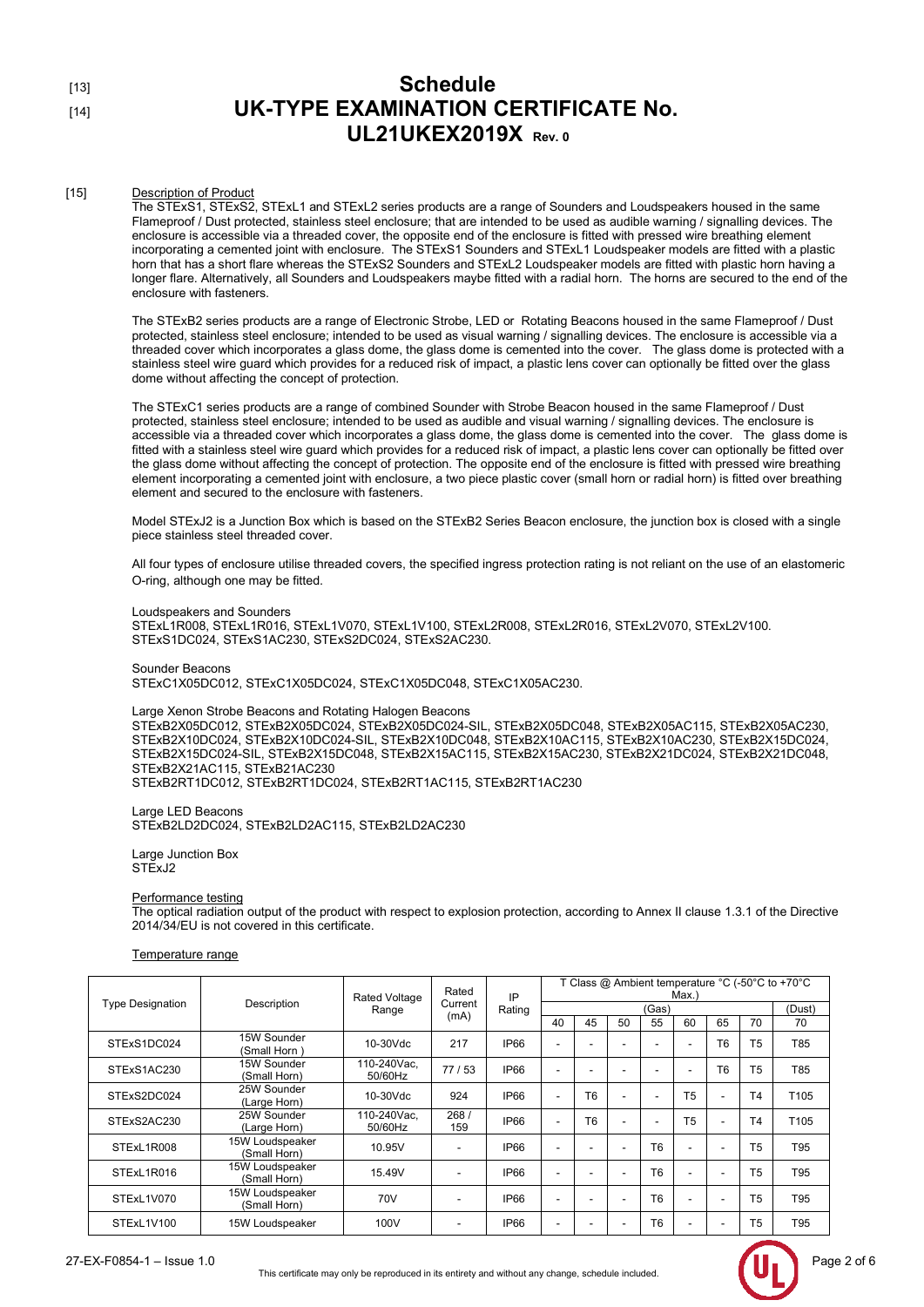## [15] Description of Product

The STExS1, STExS2, STExL1 and STExL2 series products are a range of Sounders and Loudspeakers housed in the same Flameproof / Dust protected, stainless steel enclosure; that are intended to be used as audible warning / signalling devices. The enclosure is accessible via a threaded cover, the opposite end of the enclosure is fitted with pressed wire breathing element incorporating a cemented joint with enclosure. The STExS1 Sounders and STExL1 Loudspeaker models are fitted with a plastic horn that has a short flare whereas the STExS2 Sounders and STExL2 Loudspeaker models are fitted with plastic horn having a longer flare. Alternatively, all Sounders and Loudspeakers maybe fitted with a radial horn. The horns are secured to the end of the enclosure with fasteners.

The STExB2 series products are a range of Electronic Strobe, LED or Rotating Beacons housed in the same Flameproof / Dust protected, stainless steel enclosure; intended to be used as visual warning / signalling devices. The enclosure is accessible via a threaded cover which incorporates a glass dome, the glass dome is cemented into the cover. The glass dome is protected with a stainless steel wire guard which provides for a reduced risk of impact, a plastic lens cover can optionally be fitted over the glass dome without affecting the concept of protection.

The STExC1 series products are a range of combined Sounder with Strobe Beacon housed in the same Flameproof / Dust protected, stainless steel enclosure; intended to be used as audible and visual warning / signalling devices. The enclosure is accessible via a threaded cover which incorporates a glass dome, the glass dome is cemented into the cover. The glass dome is fitted with a stainless steel wire guard which provides for a reduced risk of impact, a plastic lens cover can optionally be fitted over the glass dome without affecting the concept of protection. The opposite end of the enclosure is fitted with pressed wire breathing element incorporating a cemented joint with enclosure, a two piece plastic cover (small horn or radial horn) is fitted over breathing element and secured to the enclosure with fasteners.

Model STExJ2 is a Junction Box which is based on the STExB2 Series Beacon enclosure, the junction box is closed with a single piece stainless steel threaded cover.

All four types of enclosure utilise threaded covers, the specified ingress protection rating is not reliant on the use of an elastomeric O-ring, although one may be fitted.

### Loudspeakers and Sounders

STExL1R008, STExL1R016, STExL1V070, STExL1V100, STExL2R008, STExL2R016, STExL2V070, STExL2V100. STExS1DC024, STExS1AC230, STExS2DC024, STExS2AC230.

Sounder Beacons STExC1X05DC012, STExC1X05DC024, STExC1X05DC048, STExC1X05AC230.

## Large Xenon Strobe Beacons and Rotating Halogen Beacons

STExB2X05DC012, STExB2X05DC024, STExB2X05DC024-SIL, STExB2X05DC048, STExB2X05AC115, STExB2X05AC230, STExB2X10DC024, STExB2X10DC024-SIL, STExB2X10DC048, STExB2X10AC115, STExB2X10AC230, STExB2X15DC024, STExB2X15DC024-SIL, STExB2X15DC048, STExB2X15AC115, STExB2X15AC230, STExB2X21DC024, STExB2X21DC048, STExB2X21AC115, STExB21AC230

STExB2RT1DC012, STExB2RT1DC024, STExB2RT1AC115, STExB2RT1AC230

Large LED Beacons STExB2LD2DC024, STExB2LD2AC115, STExB2LD2AC230

Large Junction Box STExJ<sub>2</sub>

### Performance testing

The optical radiation output of the product with respect to explosion protection, according to Annex II clause 1.3.1 of the Directive 2014/34/EU is not covered in this certificate.

### Temperature range

|                         | Description                     | <b>Rated Voltage</b><br>Range | Rated<br>Current<br>(mA) | IP<br>Rating | T Class @ Ambient temperature °C (-50°C to +70°C<br>$Max.$ ) |                |    |                |                          |                |                |                  |
|-------------------------|---------------------------------|-------------------------------|--------------------------|--------------|--------------------------------------------------------------|----------------|----|----------------|--------------------------|----------------|----------------|------------------|
| <b>Type Designation</b> |                                 |                               |                          |              | (Gas)                                                        |                |    |                |                          |                | (Dust)         |                  |
|                         |                                 |                               |                          |              | 40                                                           | 45             | 50 | 55             | 60                       | 65             | 70             | 70               |
| STExS1DC024             | 15W Sounder<br>(Small Horn )    | $10-30Vdc$                    | 217                      | <b>IP66</b>  |                                                              |                |    |                | $\overline{\phantom{a}}$ | T <sub>6</sub> | T <sub>5</sub> | T85              |
| STExS1AC230             | 15W Sounder<br>(Small Horn)     | 110-240Vac.<br>50/60Hz        | 77/53                    | <b>IP66</b>  |                                                              |                |    | ۰              | $\overline{\phantom{a}}$ | T <sub>6</sub> | T <sub>5</sub> | T85              |
| STExS2DC024             | 25W Sounder<br>(Large Horn)     | 10-30Vdc                      | 924                      | IP66         |                                                              | T <sub>6</sub> |    | ۰              | T <sub>5</sub>           |                | T <sub>4</sub> | T <sub>105</sub> |
| STExS2AC230             | 25W Sounder<br>(Large Horn)     | 110-240Vac.<br>50/60Hz        | 268/<br>159              | <b>IP66</b>  |                                                              | T <sub>6</sub> |    | ۰              | T <sub>5</sub>           |                | T <sub>4</sub> | T <sub>105</sub> |
| STExL1R008              | 15W Loudspeaker<br>(Small Horn) | 10.95V                        | $\blacksquare$           | <b>IP66</b>  |                                                              |                |    | T <sub>6</sub> | $\overline{\phantom{a}}$ |                | T <sub>5</sub> | T95              |
| STExL1R016              | 15W Loudspeaker<br>(Small Horn) | 15.49V                        | $\overline{\phantom{a}}$ | <b>IP66</b>  |                                                              |                |    | T <sub>6</sub> | $\overline{\phantom{a}}$ |                | T <sub>5</sub> | T95              |
| STExL1V070              | 15W Loudspeaker<br>(Small Horn) | 70V                           | $\overline{\phantom{a}}$ | IP66         |                                                              |                |    | T <sub>6</sub> | $\overline{\phantom{a}}$ |                | T <sub>5</sub> | T95              |
| STExL1V100              | 15W Loudspeaker                 | 100V                          | $\overline{\phantom{a}}$ | <b>IP66</b>  |                                                              |                |    | T <sub>6</sub> | $\overline{\phantom{a}}$ |                | T <sub>5</sub> | T95              |

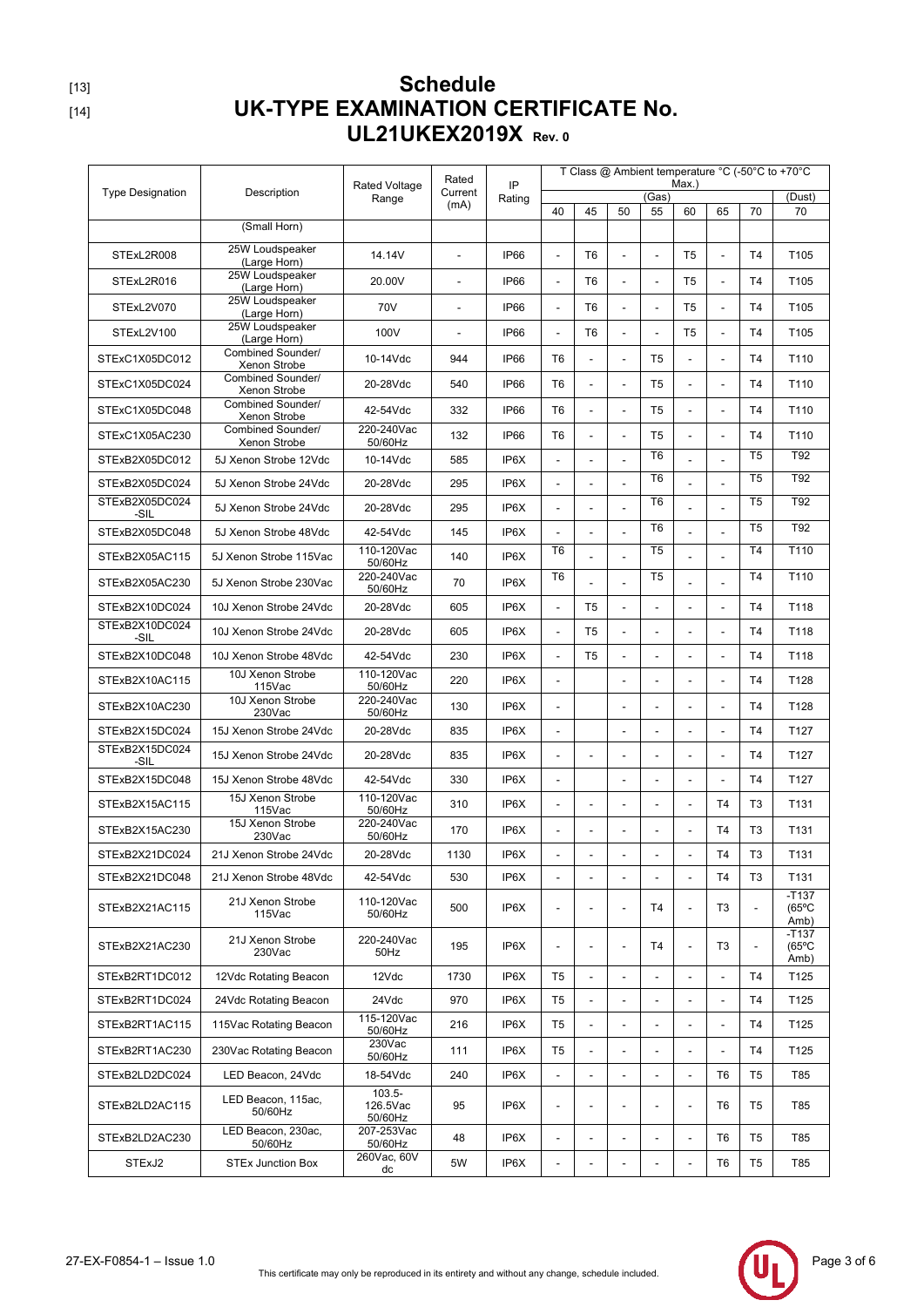|                         |                                   |                               | Rated                    | IP     | T Class @ Ambient temperature °C (-50°C to +70°C<br>Max.) |                          |                          |                |                          |                          |                          |                                    |
|-------------------------|-----------------------------------|-------------------------------|--------------------------|--------|-----------------------------------------------------------|--------------------------|--------------------------|----------------|--------------------------|--------------------------|--------------------------|------------------------------------|
| <b>Type Designation</b> | Description                       | <b>Rated Voltage</b><br>Range | Current<br>(mA)          | Rating | (Gas)                                                     |                          |                          |                |                          | (Dust)                   |                          |                                    |
|                         | (Small Horn)                      |                               |                          |        | 40                                                        | 45                       | 50                       | 55             | 60                       | 65                       | 70                       | 70                                 |
| STExL2R008              | 25W Loudspeaker                   | 14.14V                        |                          | IP66   |                                                           | T <sub>6</sub>           |                          | ÷,             | T <sub>5</sub>           |                          | T <sub>4</sub>           | T <sub>105</sub>                   |
|                         | (Large Horn)<br>25W Loudspeaker   | 20.00V                        |                          | IP66   |                                                           | T <sub>6</sub>           |                          |                | T <sub>5</sub>           |                          | T <sub>4</sub>           | T <sub>105</sub>                   |
| STExL2R016              | (Large Horn)<br>25W Loudspeaker   |                               |                          |        |                                                           |                          |                          |                |                          |                          |                          |                                    |
| STExL2V070              | (Large Horn)<br>25W Loudspeaker   | 70V                           | $\overline{\phantom{a}}$ | IP66   |                                                           | T <sub>6</sub>           | $\overline{a}$           | L.             | T5                       | $\blacksquare$           | T <sub>4</sub>           | T105                               |
| STExL2V100              | (Large Horn)<br>Combined Sounder/ | 100V                          | $\overline{a}$           | IP66   | L.                                                        | T <sub>6</sub>           | $\blacksquare$           | $\blacksquare$ | T <sub>5</sub>           | $\overline{\phantom{a}}$ | T <sub>4</sub>           | T105                               |
| STExC1X05DC012          | Xenon Strobe                      | 10-14Vdc                      | 944                      | IP66   | T <sub>6</sub>                                            |                          | $\overline{\phantom{a}}$ | T <sub>5</sub> |                          | $\overline{a}$           | T <sub>4</sub>           | T110                               |
| STExC1X05DC024          | Combined Sounder/<br>Xenon Strobe | 20-28Vdc                      | 540                      | IP66   | T <sub>6</sub>                                            |                          | $\overline{a}$           | T <sub>5</sub> |                          |                          | T <sub>4</sub>           | T110                               |
| STExC1X05DC048          | Combined Sounder/<br>Xenon Strobe | 42-54Vdc                      | 332                      | IP66   | T <sub>6</sub>                                            | $\overline{a}$           |                          | T <sub>5</sub> | $\overline{a}$           |                          | T <sub>4</sub>           | T110                               |
| STExC1X05AC230          | Combined Sounder/<br>Xenon Strobe | 220-240Vac<br>50/60Hz         | 132                      | IP66   | T <sub>6</sub>                                            | $\overline{a}$           | $\overline{\phantom{a}}$ | T5             | $\blacksquare$           | $\frac{1}{2}$            | T <sub>4</sub>           | T110                               |
| STExB2X05DC012          | 5J Xenon Strobe 12Vdc             | 10-14Vdc                      | 585                      | IP6X   |                                                           |                          |                          | T <sub>6</sub> |                          |                          | T <sub>5</sub>           | T92                                |
| STExB2X05DC024          | 5J Xenon Strobe 24Vdc             | 20-28Vdc                      | 295                      | IP6X   | ÷,                                                        | L.                       |                          | T <sub>6</sub> |                          |                          | T <sub>5</sub>           | T92                                |
| STExB2X05DC024<br>-SIL  | 5J Xenon Strobe 24Vdc             | 20-28Vdc                      | 295                      | IP6X   | $\overline{a}$                                            | L.                       |                          | T <sub>6</sub> |                          |                          | T <sub>5</sub>           | T92                                |
| STExB2X05DC048          | 5J Xenon Strobe 48Vdc             | 42-54Vdc                      | 145                      | IP6X   |                                                           |                          |                          | T6             |                          |                          | T <sub>5</sub>           | T92                                |
| STExB2X05AC115          | 5J Xenon Strobe 115Vac            | 110-120Vac<br>50/60Hz         | 140                      | IP6X   | T <sub>6</sub>                                            |                          |                          | T <sub>5</sub> |                          |                          | T <sub>4</sub>           | T110                               |
| STExB2X05AC230          | 5J Xenon Strobe 230Vac            | 220-240Vac<br>50/60Hz         | 70                       | IP6X   | T <sub>6</sub>                                            |                          |                          | T <sub>5</sub> |                          |                          | T <sub>4</sub>           | T110                               |
| STExB2X10DC024          | 10J Xenon Strobe 24Vdc            | 20-28Vdc                      | 605                      | IP6X   |                                                           | T <sub>5</sub>           |                          |                |                          |                          | T <sub>4</sub>           | T118                               |
| STExB2X10DC024<br>-SIL  | 10J Xenon Strobe 24Vdc            | 20-28Vdc                      | 605                      | IP6X   | $\overline{a}$                                            | T <sub>5</sub>           | $\overline{\phantom{a}}$ | ÷,             | $\overline{a}$           |                          | T <sub>4</sub>           | T118                               |
| STExB2X10DC048          | 10J Xenon Strobe 48Vdc            | 42-54Vdc                      | 230                      | IP6X   |                                                           | T <sub>5</sub>           |                          |                |                          |                          | T <sub>4</sub>           | T118                               |
| STExB2X10AC115          | 10J Xenon Strobe<br>115Vac        | 110-120Vac<br>50/60Hz         | 220                      | IP6X   |                                                           |                          |                          |                |                          |                          | T <sub>4</sub>           | T128                               |
| STExB2X10AC230          | 10J Xenon Strobe<br>230Vac        | 220-240Vac<br>50/60Hz         | 130                      | IP6X   | $\frac{1}{2}$                                             |                          | $\overline{\phantom{a}}$ | ٠              | $\overline{\phantom{a}}$ | $\overline{\phantom{a}}$ | T <sub>4</sub>           | T128                               |
| STExB2X15DC024          | 15J Xenon Strobe 24Vdc            | 20-28Vdc                      | 835                      | IP6X   |                                                           |                          | $\overline{\phantom{a}}$ | ÷,             | ÷,                       |                          | T <sub>4</sub>           | T127                               |
| STExB2X15DC024<br>-SIL  | 15J Xenon Strobe 24Vdc            | 20-28Vdc                      | 835                      | IP6X   |                                                           |                          |                          |                |                          |                          | T <sub>4</sub>           | T <sub>127</sub>                   |
| STExB2X15DC048          | 15J Xenon Strobe 48Vdc            | 42-54Vdc                      | 330                      | IP6X   | $\frac{1}{2}$                                             |                          | $\overline{a}$           | L,             | $\overline{a}$           | $\frac{1}{2}$            | T <sub>4</sub>           | T127                               |
| STExB2X15AC115          | 15J Xenon Strobe<br>115Vac        | 110-120Vac<br>50/60Hz         | 310                      | IP6X   | $\overline{a}$                                            | Ĭ.                       | $\overline{\phantom{0}}$ | ä,             | $\overline{\phantom{a}}$ | T <sub>4</sub>           | T <sub>3</sub>           | T131                               |
| STExB2X15AC230          | 15J Xenon Strobe                  | 220-240Vac                    | 170                      | IP6X   |                                                           |                          |                          |                |                          | T <sub>4</sub>           | T <sub>3</sub>           | T131                               |
| STExB2X21DC024          | 230Vac<br>21J Xenon Strobe 24Vdc  | 50/60Hz<br>20-28Vdc           | 1130                     | IP6X   |                                                           |                          |                          |                |                          | T4                       | T3                       | T131                               |
| STExB2X21DC048          | 21J Xenon Strobe 48Vdc            | 42-54Vdc                      | 530                      | IP6X   |                                                           |                          |                          |                |                          | T <sub>4</sub>           | T <sub>3</sub>           | T <sub>131</sub>                   |
| STExB2X21AC115          | 21J Xenon Strobe<br>115Vac        | 110-120Vac<br>50/60Hz         | 500                      | IP6X   |                                                           |                          | $\overline{\phantom{a}}$ | T4             |                          | T <sub>3</sub>           | $\overline{\phantom{a}}$ | $-T137$<br>$(65^{\circ}C)$         |
| STExB2X21AC230          | 21J Xenon Strobe                  | 220-240Vac                    | 195                      | IP6X   | $\overline{\phantom{a}}$                                  | Ĭ.                       | $\overline{\phantom{a}}$ | T4             | $\overline{\phantom{a}}$ | T <sub>3</sub>           | $\overline{\phantom{a}}$ | Amb)<br>$-T137$<br>$(65^{\circ}C)$ |
|                         | 230Vac                            | 50Hz                          |                          |        |                                                           |                          |                          |                |                          |                          |                          | Amb)                               |
| STExB2RT1DC012          | 12Vdc Rotating Beacon             | 12Vdc                         | 1730                     | IP6X   | T <sub>5</sub>                                            | $\overline{a}$           | $\blacksquare$           | ÷,             | $\overline{a}$           | $\overline{\phantom{a}}$ | T <sub>4</sub>           | T125                               |
| STExB2RT1DC024          | 24Vdc Rotating Beacon             | 24Vdc<br>115-120Vac           | 970                      | IP6X   | T <sub>5</sub>                                            |                          |                          | ÷,             |                          |                          | T <sub>4</sub>           | T125                               |
| STExB2RT1AC115          | 115Vac Rotating Beacon            | 50/60Hz<br>230Vac             | 216                      | IP6X   | T <sub>5</sub>                                            | $\overline{\phantom{a}}$ |                          | $\overline{a}$ | $\overline{\phantom{a}}$ | $\overline{\phantom{a}}$ | T4                       | T <sub>125</sub>                   |
| STExB2RT1AC230          | 230Vac Rotating Beacon            | 50/60Hz                       | 111                      | IP6X   | T <sub>5</sub>                                            | $\overline{a}$           | $\frac{1}{2}$            | ä,             | $\overline{\phantom{a}}$ | $\overline{\phantom{a}}$ | T <sub>4</sub>           | T <sub>125</sub>                   |
| STExB2LD2DC024          | LED Beacon, 24Vdc                 | 18-54Vdc<br>$103.5 -$         | 240                      | IP6X   |                                                           |                          |                          | ä,             |                          | T6                       | T <sub>5</sub>           | T85                                |
| STExB2LD2AC115          | LED Beacon, 115ac,<br>50/60Hz     | 126.5Vac<br>50/60Hz           | 95                       | IP6X   | $\overline{a}$                                            | $\blacksquare$           |                          | ä,             | $\overline{a}$           | T6                       | T <sub>5</sub>           | T85                                |
| STExB2LD2AC230          | LED Beacon, 230ac,<br>50/60Hz     | 207-253Vac<br>50/60Hz         | 48                       | IP6X   |                                                           | ÷,                       |                          | $\overline{a}$ | $\overline{a}$           | T <sub>6</sub>           | T <sub>5</sub>           | T85                                |
| STExJ2                  | <b>STEx Junction Box</b>          | 260Vac, 60V<br>dc             | 5W                       | IP6X   | $\overline{\phantom{a}}$                                  |                          |                          |                | $\overline{a}$           | T <sub>6</sub>           | T5                       | T85                                |

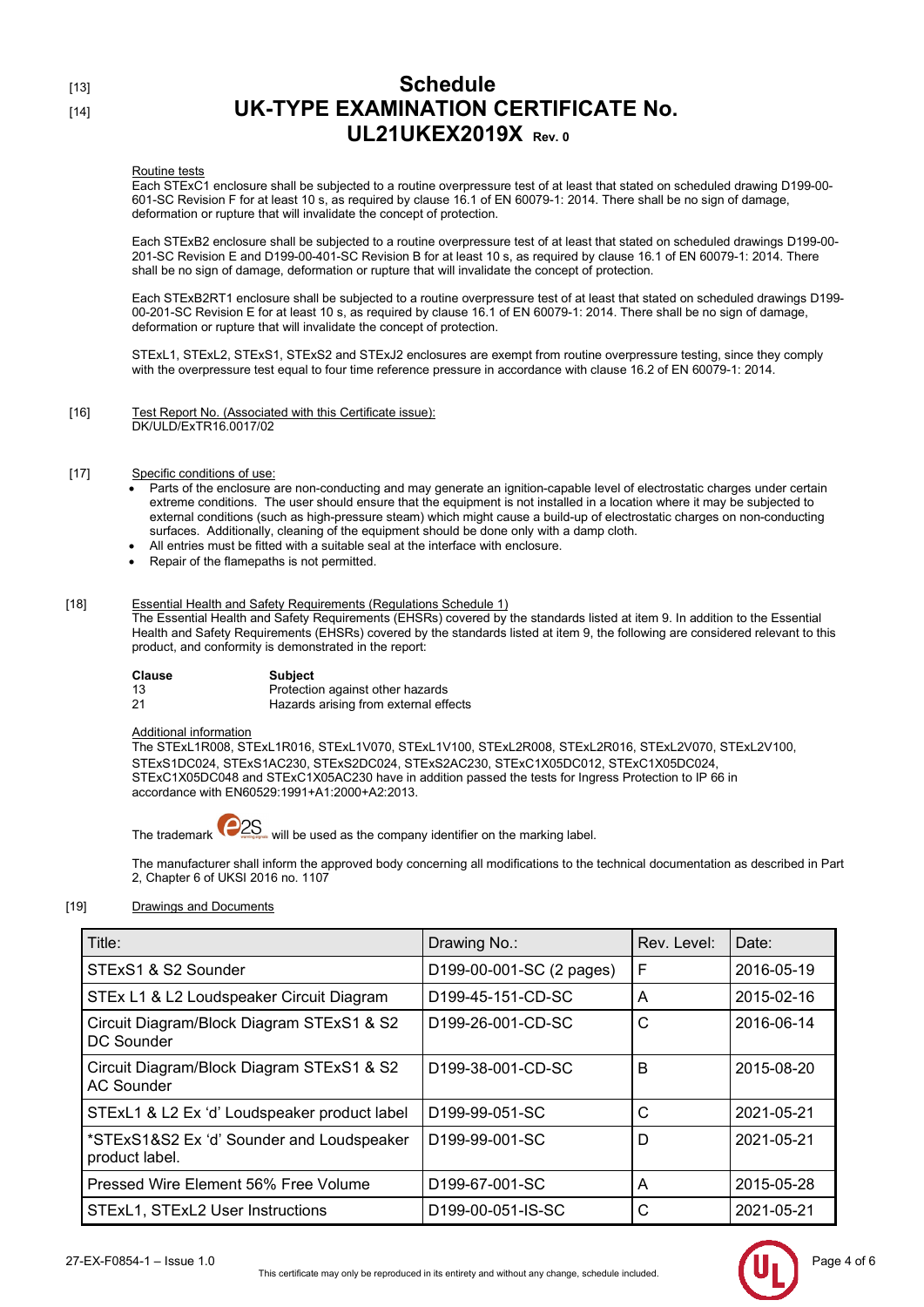### Routine tests

Each STExC1 enclosure shall be subjected to a routine overpressure test of at least that stated on scheduled drawing D199-00- 601-SC Revision F for at least 10 s, as required by clause 16.1 of EN 60079-1: 2014. There shall be no sign of damage, deformation or rupture that will invalidate the concept of protection.

Each STExB2 enclosure shall be subjected to a routine overpressure test of at least that stated on scheduled drawings D199-00- 201-SC Revision E and D199-00-401-SC Revision B for at least 10 s, as required by clause 16.1 of EN 60079-1: 2014. There shall be no sign of damage, deformation or rupture that will invalidate the concept of protection.

Each STExB2RT1 enclosure shall be subjected to a routine overpressure test of at least that stated on scheduled drawings D199- 00-201-SC Revision E for at least 10 s, as required by clause 16.1 of EN 60079-1: 2014. There shall be no sign of damage, deformation or rupture that will invalidate the concept of protection.

STExL1, STExL2, STExS1, STExS2 and STExJ2 enclosures are exempt from routine overpressure testing, since they comply with the overpressure test equal to four time reference pressure in accordance with clause 16.2 of EN 60079-1: 2014.

[16] Test Report No. (Associated with this Certificate issue): DK/ULD/ExTR16.0017/02

## [17] Specific conditions of use:

- Parts of the enclosure are non-conducting and may generate an ignition-capable level of electrostatic charges under certain extreme conditions. The user should ensure that the equipment is not installed in a location where it may be subjected to external conditions (such as high-pressure steam) which might cause a build-up of electrostatic charges on non-conducting surfaces. Additionally, cleaning of the equipment should be done only with a damp cloth.
- All entries must be fitted with a suitable seal at the interface with enclosure.
- Repair of the flamepaths is not permitted.

## [18] Essential Health and Safety Requirements (Regulations Schedule 1)

The Essential Health and Safety Requirements (EHSRs) covered by the standards listed at item 9. In addition to the Essential Health and Safety Requirements (EHSRs) covered by the standards listed at item 9, the following are considered relevant to this product, and conformity is demonstrated in the report:

| Clause | Subiect                               |
|--------|---------------------------------------|
| -13    | Protection against other hazards      |
| -21    | Hazards arising from external effects |

### Additional information

The STExL1R008, STExL1R016, STExL1V070, STExL1V100, STExL2R008, STExL2R016, STExL2V070, STExL2V100, STExS1DC024, STExS1AC230, STExS2DC024, STExS2AC230, STExC1X05DC012, STExC1X05DC024, STExC1X05DC048 and STExC1X05AC230 have in addition passed the tests for Ingress Protection to IP 66 in accordance with EN60529:1991+A1:2000+A2:2013.

The trademark  $\overline{P2S}$  will be used as the company identifier on the marking label.

The manufacturer shall inform the approved body concerning all modifications to the technical documentation as described in Part 2, Chapter 6 of UKSI 2016 no. 1107

## [19] Drawings and Documents

| Title:                                                         | Drawing No.:                   | Rev. Level: | Date:      |
|----------------------------------------------------------------|--------------------------------|-------------|------------|
| STExS1 & S2 Sounder                                            | D199-00-001-SC (2 pages)       | F           | 2016-05-19 |
| STEx L1 & L2 Loudspeaker Circuit Diagram                       | D <sub>199</sub> -45-151-CD-SC | A           | 2015-02-16 |
| Circuit Diagram/Block Diagram STExS1 & S2<br><b>DC Sounder</b> | D <sub>199</sub> -26-001-CD-SC | C           | 2016-06-14 |
| Circuit Diagram/Block Diagram STExS1 & S2<br><b>AC Sounder</b> | D <sub>199</sub> -38-001-CD-SC | B           | 2015-08-20 |
| STExL1 & L2 Ex 'd' Loudspeaker product label                   | D <sub>199</sub> -99-051-SC    | C           | 2021-05-21 |
| *STExS1&S2 Ex 'd' Sounder and Loudspeaker<br>product label.    | D <sub>199</sub> -99-001-SC    | D           | 2021-05-21 |
| Pressed Wire Element 56% Free Volume                           | D <sub>199</sub> -67-001-SC    | A           | 2015-05-28 |
| STExL1, STExL2 User Instructions                               | D <sub>199</sub> -00-051-IS-SC | C           | 2021-05-21 |

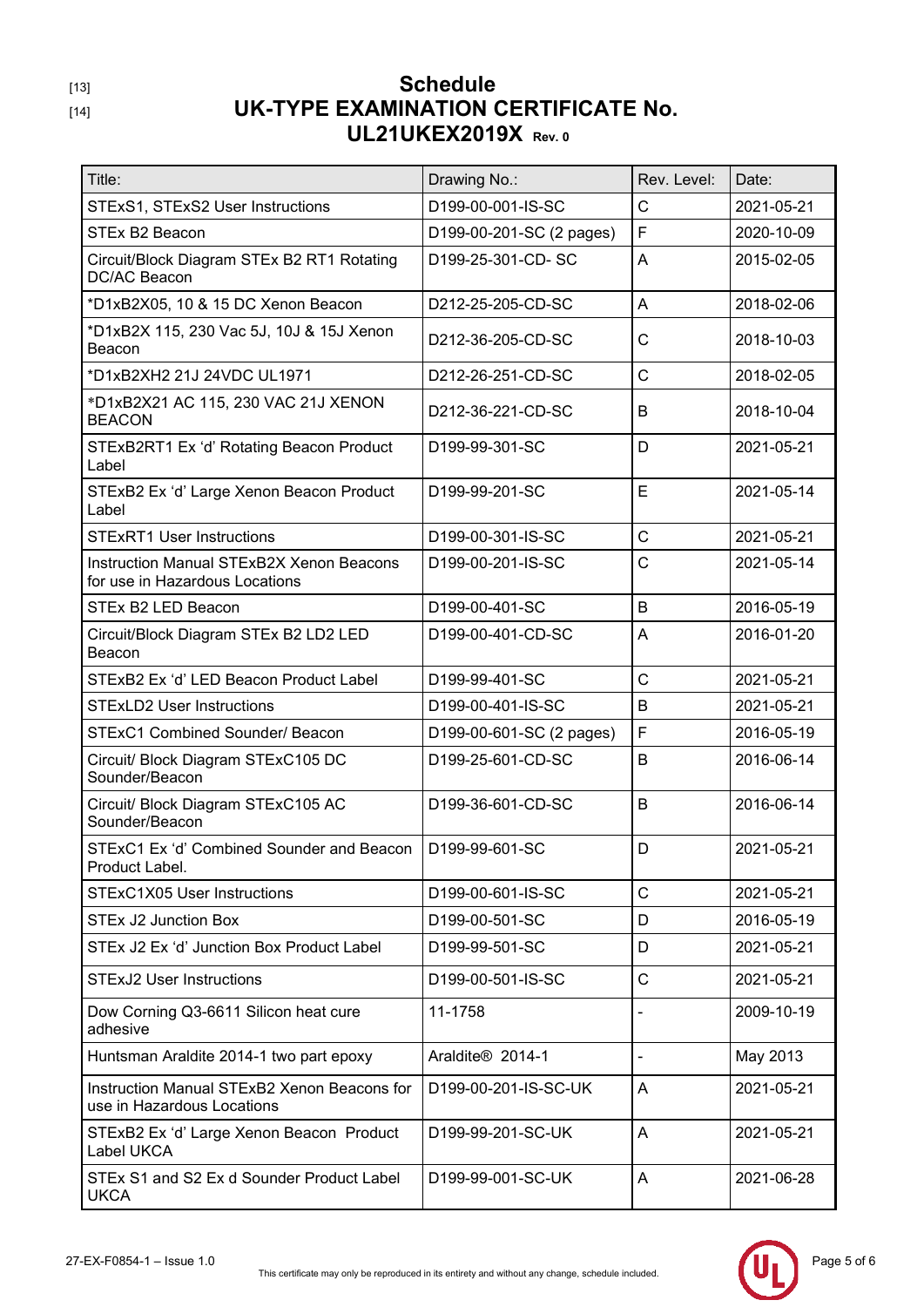| Title:                                                                     | Drawing No.:             | Rev. Level:    | Date:      |
|----------------------------------------------------------------------------|--------------------------|----------------|------------|
| STExS1, STExS2 User Instructions                                           | D199-00-001-IS-SC        | C              | 2021-05-21 |
| STEx B2 Beacon                                                             | D199-00-201-SC (2 pages) | F              | 2020-10-09 |
| Circuit/Block Diagram STEx B2 RT1 Rotating<br>DC/AC Beacon                 | D199-25-301-CD-SC        | A              | 2015-02-05 |
| *D1xB2X05, 10 & 15 DC Xenon Beacon                                         | D212-25-205-CD-SC        | A              | 2018-02-06 |
| *D1xB2X 115, 230 Vac 5J, 10J & 15J Xenon<br>Beacon                         | D212-36-205-CD-SC        | $\mathsf{C}$   | 2018-10-03 |
| *D1xB2XH2 21J 24VDC UL1971                                                 | D212-26-251-CD-SC        | $\mathsf{C}$   | 2018-02-05 |
| *D1xB2X21 AC 115, 230 VAC 21J XENON<br><b>BEACON</b>                       | D212-36-221-CD-SC        | B              | 2018-10-04 |
| STExB2RT1 Ex 'd' Rotating Beacon Product<br>Label                          | D199-99-301-SC           | D              | 2021-05-21 |
| STExB2 Ex 'd' Large Xenon Beacon Product<br>Label                          | D199-99-201-SC           | E              | 2021-05-14 |
| <b>STExRT1 User Instructions</b>                                           | D199-00-301-IS-SC        | C              | 2021-05-21 |
| Instruction Manual STExB2X Xenon Beacons<br>for use in Hazardous Locations | D199-00-201-IS-SC        | C              | 2021-05-14 |
| STEx B2 LED Beacon                                                         | D199-00-401-SC           | B              | 2016-05-19 |
| Circuit/Block Diagram STEx B2 LD2 LED<br>Beacon                            | D199-00-401-CD-SC        | Α              | 2016-01-20 |
| STExB2 Ex 'd' LED Beacon Product Label                                     | D199-99-401-SC           | $\mathsf{C}$   | 2021-05-21 |
| <b>STExLD2 User Instructions</b>                                           | D199-00-401-IS-SC        | B              | 2021-05-21 |
| <b>STExC1 Combined Sounder/ Beacon</b>                                     | D199-00-601-SC (2 pages) | F              | 2016-05-19 |
| Circuit/ Block Diagram STExC105 DC<br>Sounder/Beacon                       | D199-25-601-CD-SC        | B              | 2016-06-14 |
| Circuit/ Block Diagram STExC105 AC<br>Sounder/Beacon                       | D199-36-601-CD-SC        | B              | 2016-06-14 |
| STExC1 Ex 'd' Combined Sounder and Beacon<br>Product Label.                | D199-99-601-SC           | D              | 2021-05-21 |
| STExC1X05 User Instructions                                                | D199-00-601-IS-SC        | C              | 2021-05-21 |
| <b>STEx J2 Junction Box</b>                                                | D199-00-501-SC           | D              | 2016-05-19 |
| STEx J2 Ex 'd' Junction Box Product Label                                  | D199-99-501-SC           | D              | 2021-05-21 |
| <b>STExJ2 User Instructions</b>                                            | D199-00-501-IS-SC        | $\mathsf{C}$   | 2021-05-21 |
| Dow Corning Q3-6611 Silicon heat cure<br>adhesive                          | 11-1758                  |                | 2009-10-19 |
| Huntsman Araldite 2014-1 two part epoxy                                    | Araldite® 2014-1         | $\blacksquare$ | May 2013   |
| Instruction Manual STExB2 Xenon Beacons for<br>use in Hazardous Locations  | D199-00-201-IS-SC-UK     | Α              | 2021-05-21 |
| STExB2 Ex 'd' Large Xenon Beacon Product<br>Label UKCA                     | D199-99-201-SC-UK        | A              | 2021-05-21 |
| STEx S1 and S2 Ex d Sounder Product Label<br><b>UKCA</b>                   | D199-99-001-SC-UK        | Α              | 2021-06-28 |